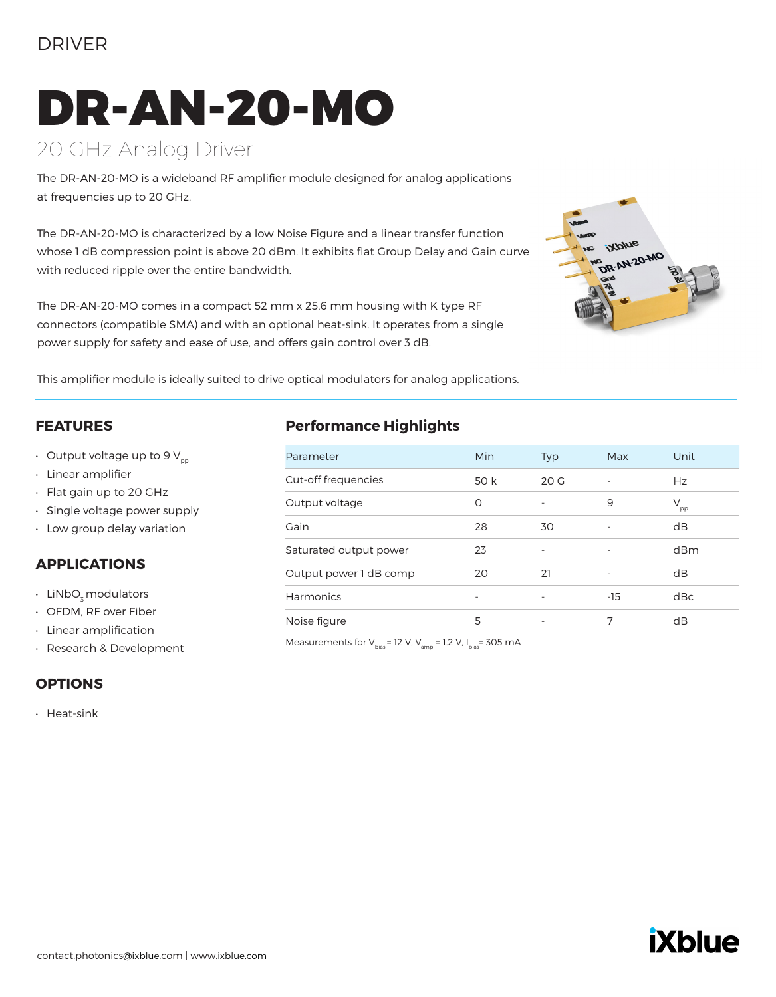## DRIVER

# DR-AN-20-MO

# 20 GHz Analog Driver

The DR-AN-20-MO is a wideband RF amplifier module designed for analog applications at frequencies up to 20 GHz.

The DR-AN-20-MO is characterized by a low Noise Figure and a linear transfer function whose 1 dB compression point is above 20 dBm. It exhibits flat Group Delay and Gain curve with reduced ripple over the entire bandwidth.

The DR-AN-20-MO comes in a compact 52 mm x 25.6 mm housing with K type RF connectors (compatible SMA) and with an optional heat-sink. It operates from a single power supply for safety and ease of use, and offers gain control over 3 dB.



This amplifier module is ideally suited to drive optical modulators for analog applications.

#### **FEATURES**

- $\cdot$  Output voltage up to 9 V<sub>pp</sub>
- Linear amplifier
- Flat gain up to 20 GHz
- Single voltage power supply
- Low group delay variation

#### **APPLICATIONS**

- LiNbO<sub>z</sub> modulators
- OFDM, RF over Fiber
- Linear amplification
- Research & Development

#### **OPTIONS**

• Heat-sink

#### **Performance Highlights**

| Parameter              | Min  | Typ                      | Max                      | Unit            |
|------------------------|------|--------------------------|--------------------------|-----------------|
| Cut-off frequencies    | 50 k | 20G                      |                          | Hz              |
| Output voltage         | O    | $\overline{\phantom{m}}$ | 9                        | $V_{\text{pp}}$ |
| Gain                   | 28   | 30                       |                          | dB              |
| Saturated output power | 23   | $\overline{\phantom{m}}$ | $\overline{\phantom{0}}$ | dBm             |
| Output power 1 dB comp | 20   | 21                       |                          | dB              |
| Harmonics              | ۰    | $\overline{\phantom{m}}$ | $-15$                    | dBc             |
| Noise figure           | 5    |                          | 7                        | dB              |

Measurements for  $V_{bias}$ = 12 V,  $V_{amp}$  = 1.2 V,  $I_{bias}$ = 305 mA

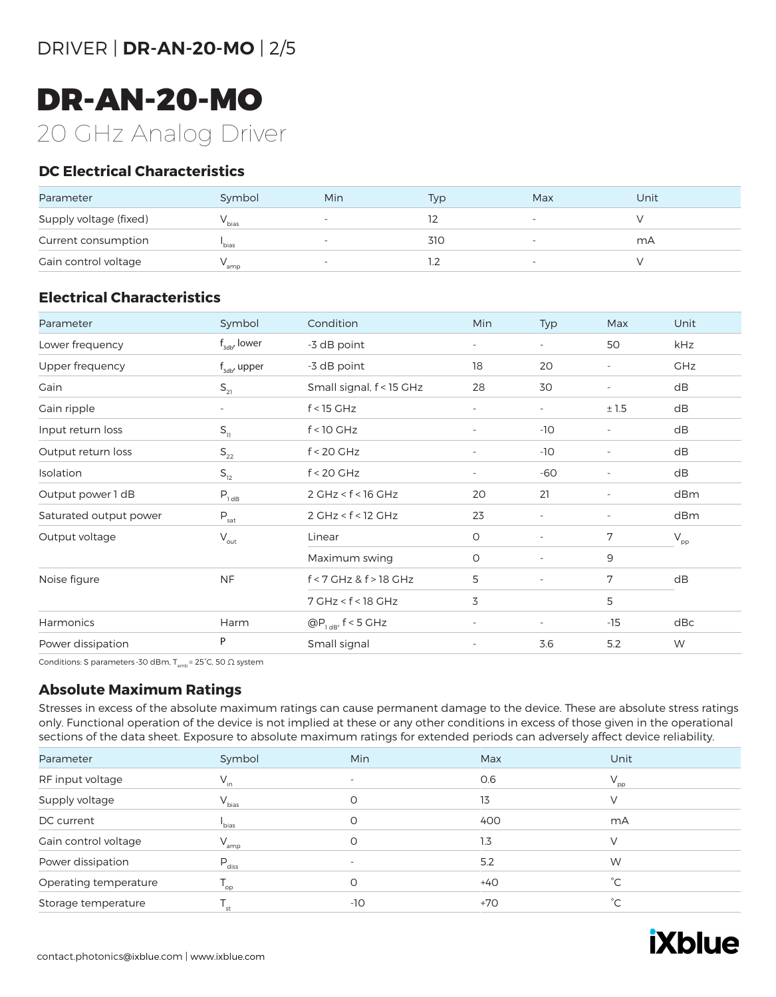# DR-AN-20-MO 20 GHz Analog Driver

#### **DC Electrical Characteristics**

| Parameter              | Symbol            | <b>Min</b>               | Typ | Max | Unit |
|------------------------|-------------------|--------------------------|-----|-----|------|
| Supply voltage (fixed) | <sup>*</sup> bias | $\overline{\phantom{0}}$ |     |     |      |
| Current consumption    | 'bias             |                          | 310 |     | mA   |
| Gain control voltage   | amp               |                          |     |     |      |

#### **Electrical Characteristics**

| Parameter              | Symbol                                | Condition                                    | Min                      | Typ                      | Max                      | Unit                       |  |
|------------------------|---------------------------------------|----------------------------------------------|--------------------------|--------------------------|--------------------------|----------------------------|--|
| Lower frequency        | $f_{\text{3db}}$ , lower              | -3 dB point                                  | $\overline{\phantom{a}}$ |                          | 50                       | kHz                        |  |
| Upper frequency        | $f_{\rm adv}$ upper                   | -3 dB point                                  | 18                       | 20                       | $\overline{\phantom{a}}$ | <b>GHz</b>                 |  |
| Gain                   | $S_{21}$                              | Small signal, f < 15 GHz                     | 28                       | 30                       | $\overline{\phantom{a}}$ | dB                         |  |
| Gain ripple            |                                       | $f < 15$ GHz                                 | $\overline{\phantom{a}}$ | $\overline{\phantom{a}}$ | ±1.5                     | dB                         |  |
| Input return loss      | $S_{11}$                              | $f < 10$ GHz                                 | $\overline{\phantom{a}}$ | $-10$                    | $\overline{\phantom{a}}$ | dB                         |  |
| Output return loss     | $\mathsf{S}_{\mathsf{22}}$            | $f < 20$ GHz                                 | $\overline{\phantom{a}}$ | $-10$                    | $\overline{\phantom{a}}$ | dB                         |  |
| Isolation              | $\mathsf{S}_{\scriptscriptstyle{12}}$ | $f < 20$ GHz                                 | $\overline{\phantom{a}}$ | $-60$                    | $\overline{\phantom{a}}$ | dB                         |  |
| Output power 1 dB      | $P_{1dB}$                             | $2$ GHz < $f$ < 16 GHz                       | 20                       | 21                       | $\overline{\phantom{a}}$ | dBm                        |  |
| Saturated output power | $P_{\underline{\text{sat}}}$          | 2 GHz < f < 12 GHz                           | 23                       |                          | $\overline{\phantom{a}}$ | dBm                        |  |
| Output voltage         | $\mathsf{V}_{\mathsf{out}}$           | Linear                                       | $\circ$                  | $\sim$                   | 7                        | $\mathsf{V}_{\mathsf{pp}}$ |  |
|                        |                                       | Maximum swing                                | $\circ$                  |                          | 9                        |                            |  |
| Noise figure           | <b>NF</b>                             | f < 7 GHz & f > 18 GHz                       | 5                        | $\overline{\phantom{a}}$ | 7                        | dB                         |  |
|                        |                                       | $7$ GHz < $f$ < 18 GHz                       | 3                        |                          | 5                        |                            |  |
| <b>Harmonics</b>       | Harm                                  | $\textcircled{a}P_{\text{1 dB}}$ , f < 5 GHz | $\overline{\phantom{a}}$ | $\overline{\phantom{a}}$ | $-15$                    | dBc                        |  |
| Power dissipation      | P                                     | Small signal                                 | $\sim$                   | 3.6                      | 5.2                      | W                          |  |

Conditions: S parameters -30 dBm,  $T_{amb}$  = 25°C, 50  $\Omega$  system

#### **Absolute Maximum Ratings**

Stresses in excess of the absolute maximum ratings can cause permanent damage to the device. These are absolute stress ratings only. Functional operation of the device is not implied at these or any other conditions in excess of those given in the operational sections of the data sheet. Exposure to absolute maximum ratings for extended periods can adversely affect device reliability.

| Parameter             | Symbol            | Min                      | Max   | Unit            |
|-----------------------|-------------------|--------------------------|-------|-----------------|
| RF input voltage      | $V_{in}$          | $\overline{\phantom{0}}$ | 0.6   | $V_{\text{pp}}$ |
| Supply voltage        | $V_{bias}$        | O                        | 13    | V               |
| DC current            | <sup>l</sup> bias | O                        | 400   | mA              |
| Gain control voltage  | $V_{amp}$         | O                        | 1.3   | $\vee$          |
| Power dissipation     | $P_{\text{diss}}$ | $\overline{\phantom{0}}$ | 5.2   | W               |
| Operating temperature | $T_{op}$          | O                        | $+40$ | $^{\circ}C$     |
| Storage temperature   | st                | -10                      | $+70$ | $^{\circ}C$     |

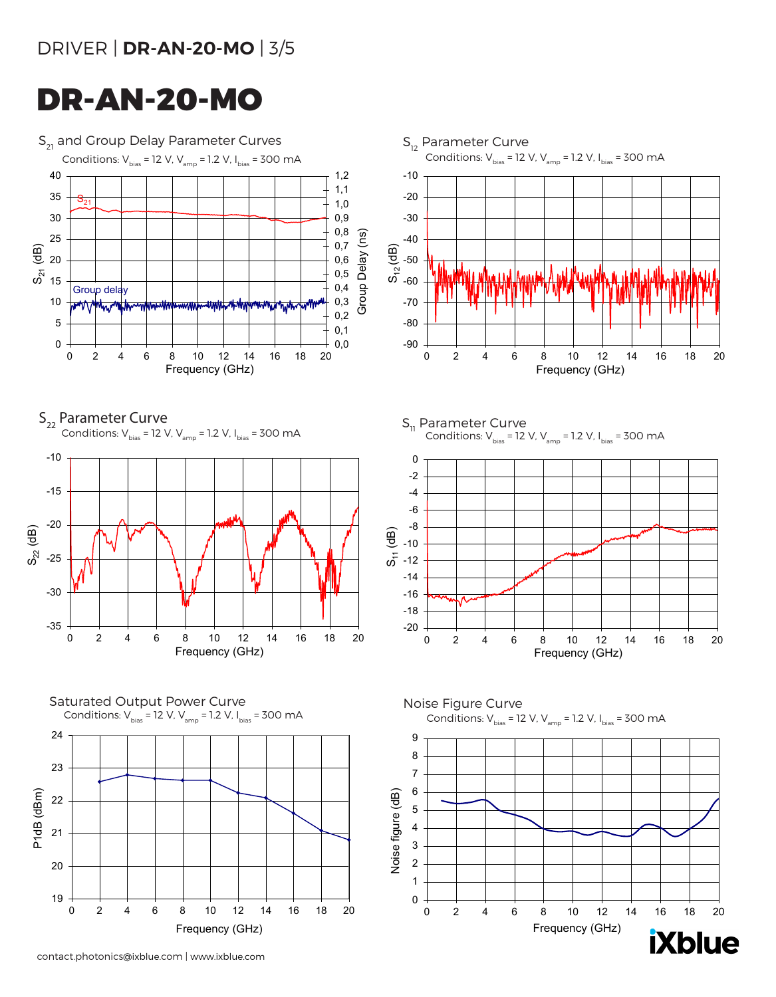# DRIVER | **DR-AN-20-MO** | 3/5

# DR-AN-20-MO

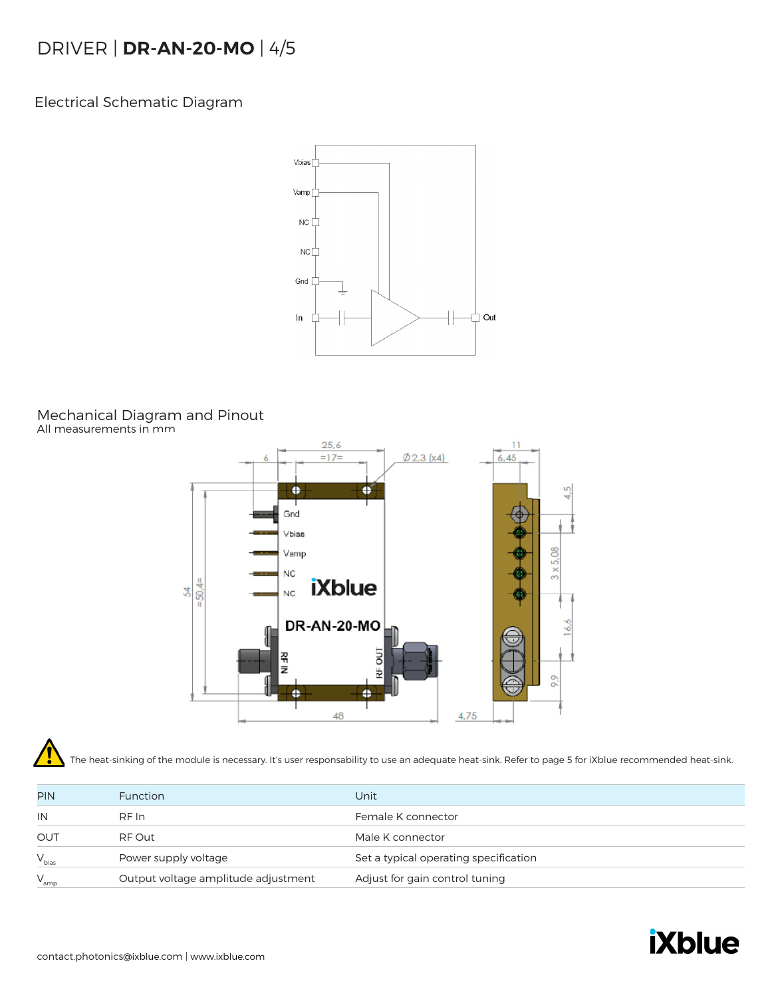# DRIVER | **DR-AN-20-MO** | 4/5

Electrical Schematic Diagram



### Mechanical Diagram and Pinout

All measurements in mm



The heat-sinking of the module is necessary. It's user responsability to use an adequate heat-sink. Refer to page 5 for iXblue recommended heat-sink.

| <b>PIN</b> | <b>Function</b>                     | Unit                                  |
|------------|-------------------------------------|---------------------------------------|
| IN         | RF In                               | Female K connector                    |
| OUT        | RF Out                              | Male K connector                      |
| $V_{bias}$ | Power supply voltage                | Set a typical operating specification |
| $V_{amp}$  | Output voltage amplitude adjustment | Adjust for gain control tuning        |